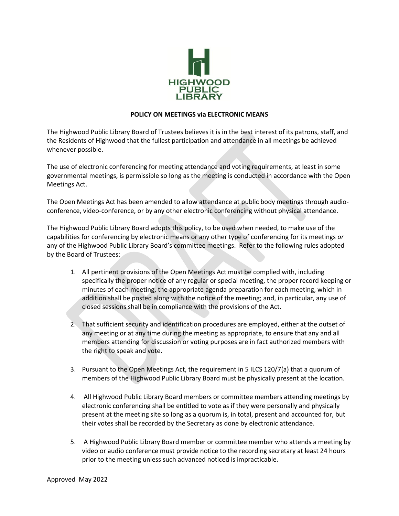

## **POLICY ON MEETINGS via ELECTRONIC MEANS**

The Highwood Public Library Board of Trustees believes it is in the best interest of its patrons, staff, and the Residents of Highwood that the fullest participation and attendance in all meetings be achieved whenever possible.

The use of electronic conferencing for meeting attendance and voting requirements, at least in some governmental meetings, is permissible so long as the meeting is conducted in accordance with the Open Meetings Act.

The Open Meetings Act has been amended to allow attendance at public body meetings through audioconference, video-conference, or by any other electronic conferencing without physical attendance.

The Highwood Public Library Board adopts this policy, to be used when needed, to make use of the capabilities for conferencing by electronic means or any other type of conferencing for its meetings *or*  any of the Highwood Public Library Board's committee meetings. Refer to the following rules adopted by the Board of Trustees:

- 1. All pertinent provisions of the Open Meetings Act must be complied with, including specifically the proper notice of any regular or special meeting, the proper record keeping or minutes of each meeting, the appropriate agenda preparation for each meeting, which in addition shall be posted along with the notice of the meeting; and, in particular, any use of closed sessions shall be in compliance with the provisions of the Act.
- 2. That sufficient security and identification procedures are employed, either at the outset of any meeting or at any time during the meeting as appropriate, to ensure that any and all members attending for discussion or voting purposes are in fact authorized members with the right to speak and vote.
- 3. Pursuant to the Open Meetings Act, the requirement in 5 ILCS 120/7(a) that a quorum of members of the Highwood Public Library Board must be physically present at the location.
- 4. All Highwood Public Library Board members or committee members attending meetings by electronic conferencing shall be entitled to vote as if they were personally and physically present at the meeting site so long as a quorum is, in total, present and accounted for, but their votes shall be recorded by the Secretary as done by electronic attendance.
- 5. A Highwood Public Library Board member or committee member who attends a meeting by video or audio conference must provide notice to the recording secretary at least 24 hours prior to the meeting unless such advanced noticed is impracticable.